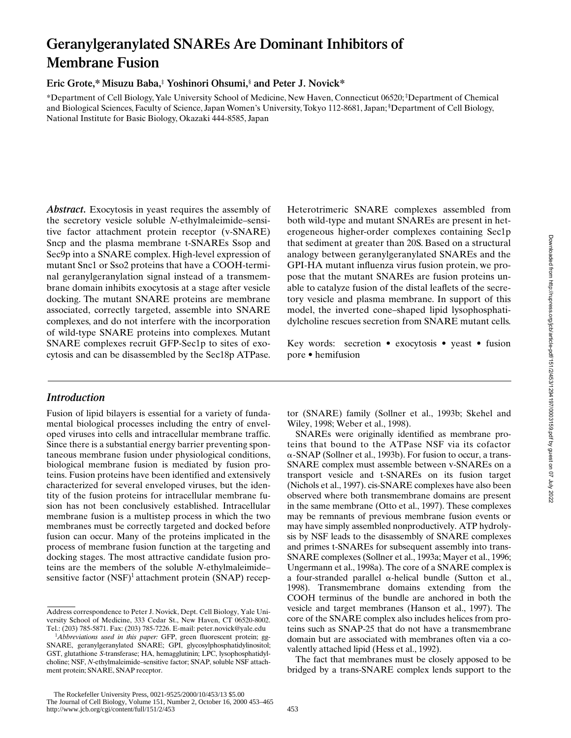# **Geranylgeranylated SNAREs Are Dominant Inhibitors of Membrane Fusion**

### **Eric Grote,\* Misuzu Baba,**‡  **Yoshinori Ohsumi,**§  **and Peter J. Novick\***

\*Department of Cell Biology, Yale University School of Medicine, New Haven, Connecticut 06520; ‡ Department of Chemical and Biological Sciences, Faculty of Science, Japan Women's University, Tokyo 112-8681, Japan; <sup>§</sup>Department of Cell Biology, National Institute for Basic Biology, Okazaki 444-8585, Japan

*Abstract.* Exocytosis in yeast requires the assembly of the secretory vesicle soluble *N*-ethylmaleimide–sensitive factor attachment protein receptor (v-SNARE) Sncp and the plasma membrane t-SNAREs Ssop and Sec9p into a SNARE complex. High-level expression of mutant Snc1 or Sso2 proteins that have a COOH-terminal geranylgeranylation signal instead of a transmembrane domain inhibits exocytosis at a stage after vesicle docking. The mutant SNARE proteins are membrane associated, correctly targeted, assemble into SNARE complexes, and do not interfere with the incorporation of wild-type SNARE proteins into complexes. Mutant SNARE complexes recruit GFP-Sec1p to sites of exocytosis and can be disassembled by the Sec18p ATPase.

# *Introduction*

Fusion of lipid bilayers is essential for a variety of fundamental biological processes including the entry of enveloped viruses into cells and intracellular membrane traffic. Since there is a substantial energy barrier preventing spontaneous membrane fusion under physiological conditions, biological membrane fusion is mediated by fusion proteins. Fusion proteins have been identified and extensively characterized for several enveloped viruses, but the identity of the fusion proteins for intracellular membrane fusion has not been conclusively established. Intracellular membrane fusion is a multistep process in which the two membranes must be correctly targeted and docked before fusion can occur. Many of the proteins implicated in the process of membrane fusion function at the targeting and docking stages. The most attractive candidate fusion proteins are the members of the soluble *N*-ethylmaleimide– sensitive factor  $(NSF)^1$  attachment protein  $(NAP)$  recepHeterotrimeric SNARE complexes assembled from both wild-type and mutant SNAREs are present in heterogeneous higher-order complexes containing Sec1p that sediment at greater than 20S. Based on a structural analogy between geranylgeranylated SNAREs and the GPI-HA mutant influenza virus fusion protein, we propose that the mutant SNAREs are fusion proteins unable to catalyze fusion of the distal leaflets of the secretory vesicle and plasma membrane. In support of this model, the inverted cone–shaped lipid lysophosphatidylcholine rescues secretion from SNARE mutant cells.

Key words: secretion • exocytosis • yeast • fusion pore • hemifusion

tor (SNARE) family (Sollner et al., 1993b; Skehel and Wiley, 1998; Weber et al., 1998).

SNAREs were originally identified as membrane proteins that bound to the ATPase NSF via its cofactor  $\alpha$ -SNAP (Sollner et al., 1993b). For fusion to occur, a trans-SNARE complex must assemble between v-SNAREs on a transport vesicle and t-SNAREs on its fusion target (Nichols et al., 1997). cis-SNARE complexes have also been observed where both transmembrane domains are present in the same membrane (Otto et al., 1997). These complexes may be remnants of previous membrane fusion events or may have simply assembled nonproductively. ATP hydrolysis by NSF leads to the disassembly of SNARE complexes and primes t-SNAREs for subsequent assembly into trans-SNARE complexes (Sollner et al., 1993a; Mayer et al., 1996; Ungermann et al., 1998a). The core of a SNARE complex is a four-stranded parallel  $\alpha$ -helical bundle (Sutton et al., 1998). Transmembrane domains extending from the COOH terminus of the bundle are anchored in both the vesicle and target membranes (Hanson et al., 1997). The core of the SNARE complex also includes helices from proteins such as SNAP-25 that do not have a transmembrane domain but are associated with membranes often via a covalently attached lipid (Hess et al., 1992).

The fact that membranes must be closely apposed to be bridged by a trans-SNARE complex lends support to the

Address correspondence to Peter J. Novick, Dept. Cell Biology, Yale University School of Medicine, 333 Cedar St., New Haven, CT 06520-8002. Tel.: (203) 785-5871. Fax: (203) 785-7226. E-mail: peter.novick@yale.edu

<sup>&</sup>lt;sup>1</sup>Abbreviations used in this paper: GFP, green fluorescent protein; gg-SNARE, geranylgeranylated SNARE; GPI, glycosylphosphatidylinositol; GST, glutathione *S*-transferase; HA, hemagglutinin; LPC, lysophosphatidylcholine; NSF, *N*-ethylmaleimide–sensitive factor; SNAP, soluble NSF attachment protein; SNARE, SNAP receptor.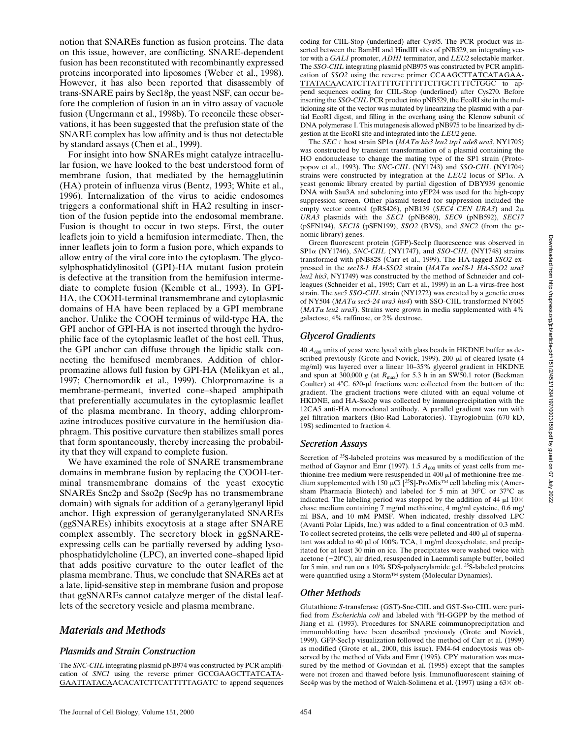notion that SNAREs function as fusion proteins. The data on this issue, however, are conflicting. SNARE-dependent fusion has been reconstituted with recombinantly expressed proteins incorporated into liposomes (Weber et al., 1998). However, it has also been reported that disassembly of trans-SNARE pairs by Sec18p, the yeast NSF, can occur before the completion of fusion in an in vitro assay of vacuole fusion (Ungermann et al., 1998b). To reconcile these observations, it has been suggested that the prefusion state of the SNARE complex has low affinity and is thus not detectable by standard assays (Chen et al., 1999).

For insight into how SNAREs might catalyze intracellular fusion, we have looked to the best understood form of membrane fusion, that mediated by the hemagglutinin (HA) protein of influenza virus (Bentz, 1993; White et al., 1996). Internalization of the virus to acidic endosomes triggers a conformational shift in HA2 resulting in insertion of the fusion peptide into the endosomal membrane. Fusion is thought to occur in two steps. First, the outer leaflets join to yield a hemifusion intermediate. Then, the inner leaflets join to form a fusion pore, which expands to allow entry of the viral core into the cytoplasm. The glycosylphosphatidylinositol (GPI)-HA mutant fusion protein is defective at the transition from the hemifusion intermediate to complete fusion (Kemble et al., 1993). In GPI-HA, the COOH-terminal transmembrane and cytoplasmic domains of HA have been replaced by a GPI membrane anchor. Unlike the COOH terminus of wild-type HA, the GPI anchor of GPI-HA is not inserted through the hydrophilic face of the cytoplasmic leaflet of the host cell. Thus, the GPI anchor can diffuse through the lipidic stalk connecting the hemifused membranes. Addition of chlorpromazine allows full fusion by GPI-HA (Melikyan et al., 1997; Chernomordik et al., 1999). Chlorpromazine is a membrane-permeant, inverted cone–shaped amphipath that preferentially accumulates in the cytoplasmic leaflet of the plasma membrane. In theory, adding chlorpromazine introduces positive curvature in the hemifusion diaphragm. This positive curvature then stabilizes small pores that form spontaneously, thereby increasing the probability that they will expand to complete fusion.

We have examined the role of SNARE transmembrane domains in membrane fusion by replacing the COOH-terminal transmembrane domains of the yeast exocytic SNAREs Snc2p and Sso2p (Sec9p has no transmembrane domain) with signals for addition of a geranylgeranyl lipid anchor. High expression of geranylgeranylated SNAREs (ggSNAREs) inhibits exocytosis at a stage after SNARE complex assembly. The secretory block in ggSNAREexpressing cells can be partially reversed by adding lysophosphatidylcholine (LPC), an inverted cone–shaped lipid that adds positive curvature to the outer leaflet of the plasma membrane. Thus, we conclude that SNAREs act at a late, lipid-sensitive step in membrane fusion and propose that ggSNAREs cannot catalyze merger of the distal leaflets of the secretory vesicle and plasma membrane.

#### *Materials and Methods*

#### *Plasmids and Strain Construction*

The *SNC-CIIL* integrating plasmid pNB974 was constructed by PCR amplification of *SNC1* using the reverse primer GCCGAAGCTTATCATA-GAATTATACAACACATCTTCATTTTTAGATC to append sequences coding for CIIL-Stop (underlined) after Cys95. The PCR product was inserted between the BamHI and HindIII sites of pNB529, an integrating vector with a *GAL1* promoter, *ADH1* terminator, and *LEU2* selectable marker. The *SSO-CIIL* integrating plasmid pNB975 was constructed by PCR amplification of *SSO2* using the reverse primer CCAAGCTTATCATAGAA-TTATACAACATCTTATTTTGTTTTTTCTTGCTTTTCTGGC to append sequences coding for CIIL-Stop (underlined) after Cys270. Before inserting the *SSO-CIIL* PCR product into pNB529, the EcoRI site in the multicloning site of the vector was mutated by linearizing the plasmid with a partial EcoRI digest, and filling in the overhang using the Klenow subunit of DNA polymerase I. This mutagenesis allowed pNB975 to be linearized by digestion at the EcoRI site and integrated into the *LEU2* gene.

The *SEC*1 host strain SP1a (*MAT*<sup>a</sup> *his3 leu2 trp1 ade8 ura3*, NY1705) was constructed by transient transformation of a plasmid containing the HO endonuclease to change the mating type of the SP1 strain (Protopopov et al., 1993). The *SNC-CIIL* (NY1743) and *SSO-CIIL* (NY1704) strains were constructed by integration at the *LEU2* locus of SP1a. A yeast genomic library created by partial digestion of DBY939 genomic DNA with Sau3A and subcloning into yEP24 was used for the high-copy suppression screen. Other plasmid tested for suppression included the empty vector control (pRS426), pNB139 (*SEC4 CEN URA3*) and 2 $\mu$ *URA3* plasmids with the *SEC1* (pNB680), *SEC9* (pNB592), *SEC17* (pSFN194), *SEC18* (pSFN199), *SSO2* (BVS), and *SNC2* (from the genomic library) genes.

Green fluorescent protein (GFP)-Sec1p fluorescence was observed in SP1a (NY1746), *SNC-CIIL* (NY1747), and *SSO-CIIL* (NY1748) strains transformed with pNB828 (Carr et al., 1999). The HA-tagged *SSO2* expressed in the *sec18-1 HA-SSO2* strain (*MAT*a *sec18-1 HA-SSO2 ura3 leu2 his3*, NY1749) was constructed by the method of Schneider and colleagues (Schneider et al., 1995; Carr et al., 1999) in an L-a virus-free host strain. The *sec5 SSO-CIIL* strain (NY1272) was created by a genetic cross of NY504 (*MAT*<sup>a</sup> *sec5-24 ura3 his4*) with SSO-CIIL transformed NY605 (*MAT*a *leu2 ura3*). Strains were grown in media supplemented with 4% galactose, 4% raffinose, or 2% dextrose.

#### *Glycerol Gradients*

 $40 A_{600}$  units of yeast were lysed with glass beads in HKDNE buffer as described previously (Grote and Novick, 1999). 200 µl of cleared lysate (4 mg/ml) was layered over a linear 10–35% glycerol gradient in HKDNE and spun at 300,000  $g$  (at  $R_{\text{max}}$ ) for 5.3 h in an SW50.1 rotor (Beckman Coulter) at  $4^{\circ}$ C. 620-µl fractions were collected from the bottom of the gradient. The gradient fractions were diluted with an equal volume of HKDNE, and HA-Sso2p was collected by immunoprecipitation with the 12CA5 anti-HA monoclonal antibody. A parallel gradient was run with gel filtration markers (Bio-Rad Laboratories). Thyroglobulin (670 kD, 19S) sedimented to fraction 4.

#### *Secretion Assays*

Secretion of 35S-labeled proteins was measured by a modification of the method of Gaynor and Emr (1997). 1.5  $A_{600}$  units of yeast cells from methionine-free medium were resuspended in 400  $\mu$ l of methionine-free medium supplemented with 150 µCi [ $35$ S]-ProMix™ cell labeling mix (Amersham Pharmacia Biotech) and labeled for 5 min at  $30^{\circ}$ C or  $37^{\circ}$ C as indicated. The labeling period was stopped by the addition of 44  $\mu$ l 10 $\times$ chase medium containing 7 mg/ml methionine, 4 mg/ml cysteine, 0.6 mg/ ml BSA, and 10 mM PMSF. When indicated, freshly dissolved LPC (Avanti Polar Lipids, Inc.) was added to a final concentration of 0.3 mM. To collect secreted proteins, the cells were pelleted and  $400 \mu$ l of supernatant was added to 40  $\mu$ l of 100% TCA, 1 mg/ml deoxycholate, and precipitated for at least 30 min on ice. The precipitates were washed twice with  $a$ cetone  $(-20^{\circ}\text{C})$ , air dried, resuspended in Laemmli sample buffer, boiled for 5 min, and run on a 10% SDS-polyacrylamide gel. 35S-labeled proteins were quantified using a Storm™ system (Molecular Dynamics).

#### *Other Methods*

Glutathione *S*-transferase (GST)-Snc-CIIL and GST-Sso-CIIL were purified from *Escherichia coli* and labeled with <sup>3</sup> H-GGPP by the method of Jiang et al. (1993). Procedures for SNARE coimmunoprecipitation and immunoblotting have been described previously (Grote and Novick, 1999). GFP-Sec1p visualization followed the method of Carr et al. (1999) as modified (Grote et al., 2000, this issue). FM4-64 endocytosis was observed by the method of Vida and Emr (1995). CPY maturation was measured by the method of Govindan et al. (1995) except that the samples were not frozen and thawed before lysis. Immunofluorescent staining of Sec4p was by the method of Walch-Solimena et al. (1997) using a  $63\times$  ob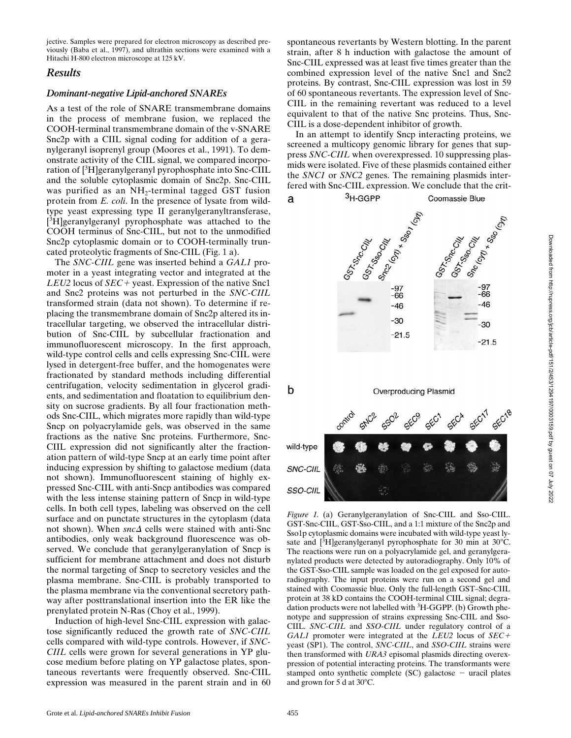jective. Samples were prepared for electron microscopy as described previously (Baba et al., 1997), and ultrathin sections were examined with a Hitachi H-800 electron microscope at 125 kV.

#### *Results*

#### *Dominant-negative Lipid-anchored SNAREs*

As a test of the role of SNARE transmembrane domains in the process of membrane fusion, we replaced the COOH-terminal transmembrane domain of the v-SNARE Snc2p with a CIIL signal coding for addition of a geranylgeranyl isoprenyl group (Moores et al., 1991). To demonstrate activity of the CIIL signal, we compared incorporation of [3 H]geranylgeranyl pyrophosphate into Snc-CIIL and the soluble cytoplasmic domain of Snc2p. Snc-CIIL was purified as an  $NH<sub>2</sub>$ -terminal tagged GST fusion protein from *E. coli*. In the presence of lysate from wildtype yeast expressing type II geranylgeranyltransferase, [ 3 H]geranylgeranyl pyrophosphate was attached to the COOH terminus of Snc-CIIL, but not to the unmodified Snc2p cytoplasmic domain or to COOH-terminally truncated proteolytic fragments of Snc-CIIL (Fig. 1 a).

The *SNC-CIIL* gene was inserted behind a *GAL1* promoter in a yeast integrating vector and integrated at the *LEU2* locus of *SEC* + yeast. Expression of the native Snc1 and Snc2 proteins was not perturbed in the *SNC-CIIL* transformed strain (data not shown). To determine if replacing the transmembrane domain of Snc2p altered its intracellular targeting, we observed the intracellular distribution of Snc-CIIL by subcellular fractionation and immunofluorescent microscopy. In the first approach, wild-type control cells and cells expressing Snc-CIIL were lysed in detergent-free buffer, and the homogenates were fractionated by standard methods including differential centrifugation, velocity sedimentation in glycerol gradients, and sedimentation and floatation to equilibrium density on sucrose gradients. By all four fractionation methods Snc-CIIL, which migrates more rapidly than wild-type Sncp on polyacrylamide gels, was observed in the same fractions as the native Snc proteins. Furthermore, Snc-CIIL expression did not significantly alter the fractionation pattern of wild-type Sncp at an early time point after inducing expression by shifting to galactose medium (data not shown). Immunofluorescent staining of highly expressed Snc-CIIL with anti-Sncp antibodies was compared with the less intense staining pattern of Sncp in wild-type cells. In both cell types, labeling was observed on the cell surface and on punctate structures in the cytoplasm (data not shown). When *snc* $\Delta$  cells were stained with anti-Snc antibodies, only weak background fluorescence was observed. We conclude that geranylgeranylation of Sncp is sufficient for membrane attachment and does not disturb the normal targeting of Sncp to secretory vesicles and the plasma membrane. Snc-CIIL is probably transported to the plasma membrane via the conventional secretory pathway after posttranslational insertion into the ER like the prenylated protein N-Ras (Choy et al., 1999).

Induction of high-level Snc-CIIL expression with galactose significantly reduced the growth rate of *SNC-CIIL* cells compared with wild-type controls. However, if *SNC-CIIL* cells were grown for several generations in YP glucose medium before plating on YP galactose plates, spontaneous revertants were frequently observed. Snc-CIIL expression was measured in the parent strain and in 60 spontaneous revertants by Western blotting. In the parent strain, after 8 h induction with galactose the amount of Snc-CIIL expressed was at least five times greater than the combined expression level of the native Snc1 and Snc2 proteins. By contrast, Snc-CIIL expression was lost in 59 of 60 spontaneous revertants. The expression level of Snc-CIIL in the remaining revertant was reduced to a level equivalent to that of the native Snc proteins. Thus, Snc-CIIL is a dose-dependent inhibitor of growth.

In an attempt to identify Sncp interacting proteins, we screened a multicopy genomic library for genes that suppress *SNC-CIIL* when overexpressed. 10 suppressing plasmids were isolated. Five of these plasmids contained either the *SNC1* or *SNC2* genes. The remaining plasmids interfered with Snc-CIIL expression. We conclude that the crit-



*Figure 1.* (a) Geranylgeranylation of Snc-CIIL and Sso-CIIL. GST-Snc-CIIL, GST-Sso-CIIL, and a 1:1 mixture of the Snc2p and Sso1p cytoplasmic domains were incubated with wild-type yeast lysate and  $[3H]$ geranylgeranyl pyrophosphate for 30 min at 30°C. The reactions were run on a polyacrylamide gel, and geranylgeranylated products were detected by autoradiography. Only 10% of the GST-Sso-CIIL sample was loaded on the gel exposed for autoradiography. The input proteins were run on a second gel and stained with Coomassie blue. Only the full-length GST–Snc-CIIL protein at 38 kD contains the COOH-terminal CIIL signal; degradation products were not labelled with <sup>3</sup>H-GGPP. (b) Growth phenotype and suppression of strains expressing Snc-CIIL and Sso-CIIL. *SNC-CIIL* and *SSO-CIIL* under regulatory control of a *GAL1* promoter were integrated at the *LEU2* locus of *SEC* + yeast (SP1). The control, *SNC-CIIL*, and *SSO-CIIL* strains were then transformed with *URA3* episomal plasmids directing overexpression of potential interacting proteins. The transformants were stamped onto synthetic complete  $(SC)$  galactose – uracil plates and grown for 5 d at 30°C.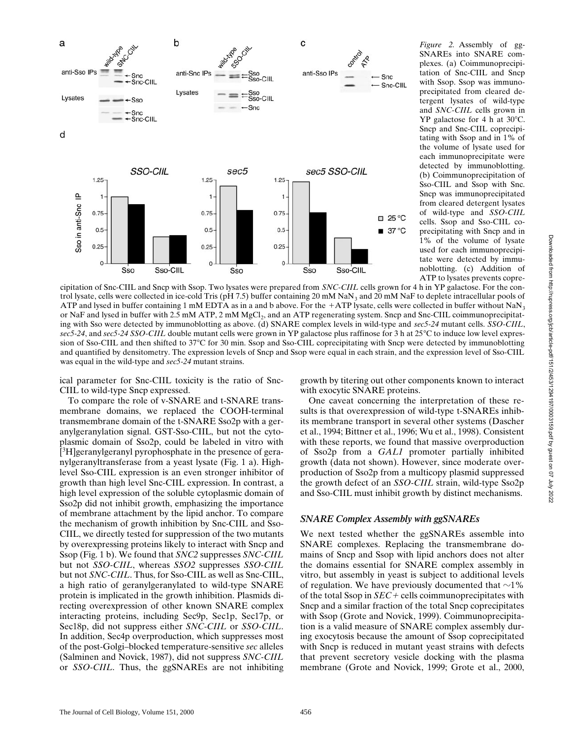

*Figure 2.* Assembly of gg-SNAREs into SNARE complexes. (a) Coimmunoprecipitation of Snc-CIIL and Sncp with Ssop. Ssop was immunoprecipitated from cleared detergent lysates of wild-type and *SNC-CIIL* cells grown in  $YP$  galactose for 4 h at 30 $^{\circ}$ C. Sncp and Snc-CIIL coprecipitating with Ssop and in 1% of the volume of lysate used for each immunoprecipitate were detected by immunoblotting. (b) Coimmunoprecipitation of Sso-CIIL and Ssop with Snc. Sncp was immunoprecipitated from cleared detergent lysates of wild-type and *SSO-CIIL* cells. Ssop and Sso-CIIL coprecipitating with Sncp and in 1% of the volume of lysate used for each immunoprecipitate were detected by immunoblotting. (c) Addition of ATP to lysates prevents copre-

cipitation of Snc-CIIL and Sncp with Ssop. Two lysates were prepared from *SNC-CIIL* cells grown for 4 h in YP galactose. For the control lysate, cells were collected in ice-cold Tris (pH 7.5) buffer containing 20 mM NaN<sub>3</sub> and 20 mM NaF to deplete intracellular pools of ATP and lysed in buffer containing 1 mM EDTA as in a and b above. For the  $+ATP$  lysate, cells were collected in buffer without NaN<sub>3</sub> or NaF and lysed in buffer with 2.5 mM ATP, 2 mM MgCl<sub>2</sub>, and an ATP regenerating system. Sncp and Snc-CIIL coimmunoprecipitating with Sso were detected by immunoblotting as above. (d) SNARE complex levels in wild-type and *sec5-24* mutant cells. *SSO-CIIL*, *sec5-24*, and *sec5-24 SSO-CIIL* double mutant cells were grown in YP galactose plus raffinose for 3 h at 25°C to induce low level expression of Sso-CIIL and then shifted to 37°C for 30 min. Ssop and Sso-CIIL coprecipitating with Sncp were detected by immunoblotting and quantified by densitometry. The expression levels of Sncp and Ssop were equal in each strain, and the expression level of Sso-CIIL was equal in the wild-type and *sec5-24* mutant strains.

ical parameter for Snc-CIIL toxicity is the ratio of Snc-CIIL to wild-type Sncp expressed.

growth by titering out other components known to interact with exocytic SNARE proteins.

To compare the role of v-SNARE and t-SNARE transmembrane domains, we replaced the COOH-terminal transmembrane domain of the t-SNARE Sso2p with a geranylgeranylation signal. GST-Sso-CIIL, but not the cytoplasmic domain of Sso2p, could be labeled in vitro with [ 3 H]geranylgeranyl pyrophosphate in the presence of geranylgeranyltransferase from a yeast lysate (Fig. 1 a). Highlevel Sso-CIIL expression is an even stronger inhibitor of growth than high level Snc-CIIL expression. In contrast, a high level expression of the soluble cytoplasmic domain of Sso2p did not inhibit growth, emphasizing the importance of membrane attachment by the lipid anchor. To compare the mechanism of growth inhibition by Snc-CIIL and Sso-CIIL, we directly tested for suppression of the two mutants by overexpressing proteins likely to interact with Sncp and Ssop (Fig. 1 b). We found that *SNC2* suppresses *SNC-CIIL* but not *SSO-CIIL*, whereas *SSO2* suppresses *SSO-CIIL* but not *SNC-CIIL*. Thus, for Sso-CIIL as well as Snc-CIIL, a high ratio of geranylgeranylated to wild-type SNARE protein is implicated in the growth inhibition. Plasmids directing overexpression of other known SNARE complex interacting proteins, including Sec9p, Sec1p, Sec17p, or Sec18p, did not suppress either *SNC-CIIL* or *SSO-CIIL*. In addition, Sec4p overproduction, which suppresses most of the post-Golgi–blocked temperature-sensitive *sec* alleles (Salminen and Novick, 1987), did not suppress *SNC-CIIL* or *SSO-CIIL*. Thus, the ggSNAREs are not inhibiting

One caveat concerning the interpretation of these results is that overexpression of wild-type t-SNAREs inhibits membrane transport in several other systems (Dascher et al., 1994; Bittner et al., 1996; Wu et al., 1998). Consistent with these reports, we found that massive overproduction of Sso2p from a *GAL1* promoter partially inhibited growth (data not shown). However, since moderate overproduction of Sso2p from a multicopy plasmid suppressed the growth defect of an *SSO-CIIL* strain, wild-type Sso2p and Sso-CIIL must inhibit growth by distinct mechanisms.

#### *SNARE Complex Assembly with ggSNAREs*

We next tested whether the ggSNAREs assemble into SNARE complexes. Replacing the transmembrane domains of Sncp and Ssop with lipid anchors does not alter the domains essential for SNARE complex assembly in vitro, but assembly in yeast is subject to additional levels of regulation. We have previously documented that  $\sim$ 1% of the total Ssop in  $SEC +$  cells coimmunoprecipitates with Sncp and a similar fraction of the total Sncp coprecipitates with Ssop (Grote and Novick, 1999). Coimmunoprecipitation is a valid measure of SNARE complex assembly during exocytosis because the amount of Ssop coprecipitated with Sncp is reduced in mutant yeast strains with defects that prevent secretory vesicle docking with the plasma membrane (Grote and Novick, 1999; Grote et al., 2000,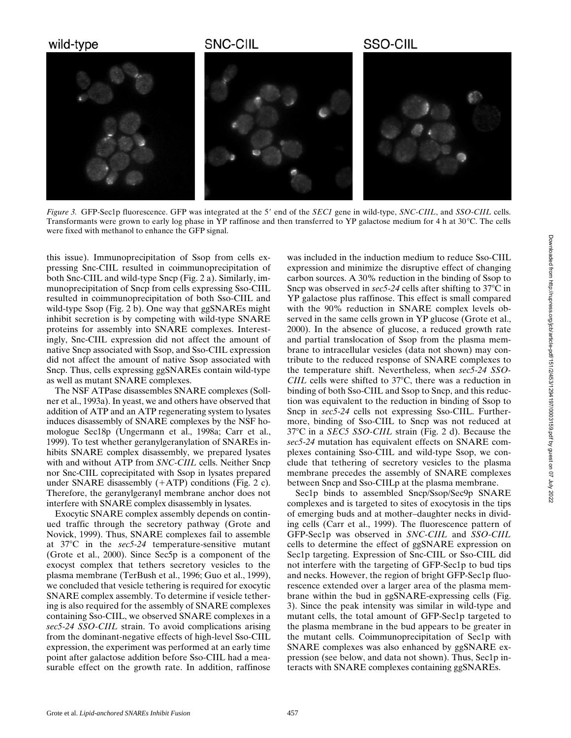# **SNC-CIIL SSO-CIIL** wild-type

*Figure 3.* GFP-Sec1p fluorescence. GFP was integrated at the 5' end of the *SEC1* gene in wild-type, *SNC-CIIL*, and *SSO-CIIL* cells. Transformants were grown to early log phase in YP raffinose and then transferred to YP galactose medium for 4 h at  $30^{\circ}$ C. The cells were fixed with methanol to enhance the GFP signal.

this issue). Immunoprecipitation of Ssop from cells expressing Snc-CIIL resulted in coimmunoprecipitation of both Snc-CIIL and wild-type Sncp (Fig. 2 a). Similarly, immunoprecipitation of Sncp from cells expressing Sso-CIIL resulted in coimmunoprecipitation of both Sso-CIIL and wild-type Ssop (Fig. 2 b). One way that ggSNAREs might inhibit secretion is by competing with wild-type SNARE proteins for assembly into SNARE complexes. Interestingly, Snc-CIIL expression did not affect the amount of native Sncp associated with Ssop, and Sso-CIIL expression did not affect the amount of native Ssop associated with Sncp. Thus, cells expressing ggSNAREs contain wild-type as well as mutant SNARE complexes.

The NSF ATPase disassembles SNARE complexes (Sollner et al., 1993a). In yeast, we and others have observed that addition of ATP and an ATP regenerating system to lysates induces disassembly of SNARE complexes by the NSF homologue Sec18p (Ungermann et al., 1998a; Carr et al., 1999). To test whether geranylgeranylation of SNAREs inhibits SNARE complex disassembly, we prepared lysates with and without ATP from *SNC-CIIL* cells. Neither Sncp nor Snc-CIIL coprecipitated with Ssop in lysates prepared under SNARE disassembly  $(+ATP)$  conditions (Fig. 2 c). Therefore, the geranylgeranyl membrane anchor does not interfere with SNARE complex disassembly in lysates.

Exocytic SNARE complex assembly depends on continued traffic through the secretory pathway (Grote and Novick, 1999). Thus, SNARE complexes fail to assemble at 378C in the *sec5-24* temperature-sensitive mutant (Grote et al., 2000). Since Sec5p is a component of the exocyst complex that tethers secretory vesicles to the plasma membrane (TerBush et al., 1996; Guo et al., 1999), we concluded that vesicle tethering is required for exocytic SNARE complex assembly. To determine if vesicle tethering is also required for the assembly of SNARE complexes containing Sso-CIIL, we observed SNARE complexes in a *sec5-24 SSO-CIIL* strain. To avoid complications arising from the dominant-negative effects of high-level Sso-CIIL expression, the experiment was performed at an early time point after galactose addition before Sso-CIIL had a measurable effect on the growth rate. In addition, raffinose

was included in the induction medium to reduce Sso-CIIL expression and minimize the disruptive effect of changing carbon sources. A 30% reduction in the binding of Ssop to Sncp was observed in  $sec5-24$  cells after shifting to  $37^{\circ}$ C in YP galactose plus raffinose. This effect is small compared with the 90% reduction in SNARE complex levels observed in the same cells grown in YP glucose (Grote et al., 2000). In the absence of glucose, a reduced growth rate and partial translocation of Ssop from the plasma membrane to intracellular vesicles (data not shown) may contribute to the reduced response of SNARE complexes to the temperature shift. Nevertheless, when *sec5-24 SSO-CIIL* cells were shifted to 37°C, there was a reduction in binding of both Sso-CIIL and Ssop to Sncp, and this reduction was equivalent to the reduction in binding of Ssop to Sncp in *sec5-24* cells not expressing Sso-CIIL. Furthermore, binding of Sso-CIIL to Sncp was not reduced at 378C in a *SEC5 SSO-CIIL* strain (Fig. 2 d). Because the *sec5-24* mutation has equivalent effects on SNARE complexes containing Sso-CIIL and wild-type Ssop, we conclude that tethering of secretory vesicles to the plasma membrane precedes the assembly of SNARE complexes between Sncp and Sso-CIILp at the plasma membrane.

Sec1p binds to assembled Sncp/Ssop/Sec9p SNARE complexes and is targeted to sites of exocytosis in the tips of emerging buds and at mother–daughter necks in dividing cells (Carr et al., 1999). The fluorescence pattern of GFP-Sec1p was observed in *SNC-CIIL* and *SSO-CIIL* cells to determine the effect of ggSNARE expression on Sec1p targeting. Expression of Snc-CIIL or Sso-CIIL did not interfere with the targeting of GFP-Sec1p to bud tips and necks. However, the region of bright GFP-Sec1p fluorescence extended over a larger area of the plasma membrane within the bud in ggSNARE-expressing cells (Fig. 3). Since the peak intensity was similar in wild-type and mutant cells, the total amount of GFP-Sec1p targeted to the plasma membrane in the bud appears to be greater in the mutant cells. Coimmunoprecipitation of Sec1p with SNARE complexes was also enhanced by ggSNARE expression (see below, and data not shown). Thus, Sec1p interacts with SNARE complexes containing ggSNAREs.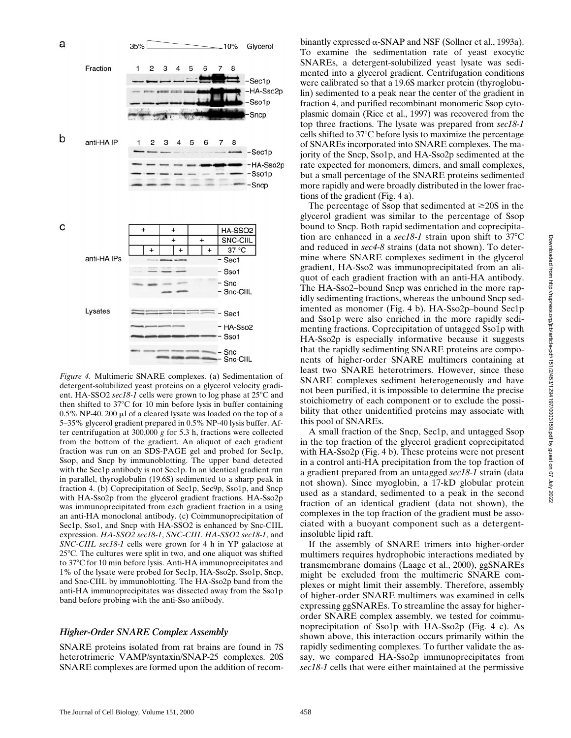

*Figure 4.* Multimeric SNARE complexes. (a) Sedimentation of detergent-solubilized yeast proteins on a glycerol velocity gradient. HA-SSO2 *sec18-1* cells were grown to log phase at 25°C and then shifted to  $37^{\circ}$ C for 10 min before lysis in buffer containing  $0.5\%$  NP-40. 200  $\mu$ l of a cleared lysate was loaded on the top of a 5–35% glycerol gradient prepared in 0.5% NP-40 lysis buffer. After centrifugation at 300,000 *g* for 5.3 h, fractions were collected from the bottom of the gradient. An aliquot of each gradient fraction was run on an SDS-PAGE gel and probed for Sec1p, Ssop, and Sncp by immunoblotting. The upper band detected with the Sec1p antibody is not Sec1p. In an identical gradient run in parallel, thyroglobulin (19.6S) sedimented to a sharp peak in fraction 4. (b) Coprecipitation of Sec1p, Sec9p, Sso1p, and Sncp with HA-Sso2p from the glycerol gradient fractions. HA-Sso2p was immunoprecipitated from each gradient fraction in a using an anti-HA monoclonal antibody. (c) Coimmunoprecipitation of Sec1p, Sso1, and Sncp with HA-SSO2 is enhanced by Snc-CIIL expression. *HA-SSO2 sec18-1*, *SNC-CIIL HA-SSO2 sec18-1*, and *SNC-CIIL sec18-1* cells were grown for 4 h in YP galactose at  $25^{\circ}$ C. The cultures were split in two, and one aliquot was shifted to 37°C for 10 min before lysis. Anti-HA immunoprecipitates and 1% of the lysate were probed for Sec1p, HA-Sso2p, Sso1p, Sncp, and Snc-CIIL by immunoblotting. The HA-Sso2p band from the anti-HA immunoprecipitates was dissected away from the Sso1p band before probing with the anti-Sso antibody.

#### *Higher-Order SNARE Complex Assembly*

SNARE proteins isolated from rat brains are found in 7S heterotrimeric VAMP/syntaxin/SNAP-25 complexes. 20S SNARE complexes are formed upon the addition of recom-

binantly expressed  $\alpha$ -SNAP and NSF (Sollner et al., 1993a). To examine the sedimentation rate of yeast exocytic SNAREs, a detergent-solubilized yeast lysate was sedimented into a glycerol gradient. Centrifugation conditions were calibrated so that a 19.6S marker protein (thyroglobulin) sedimented to a peak near the center of the gradient in fraction 4, and purified recombinant monomeric Ssop cytoplasmic domain (Rice et al., 1997) was recovered from the top three fractions. The lysate was prepared from *sec18-1* cells shifted to  $37^{\circ}$ C before lysis to maximize the percentage of SNAREs incorporated into SNARE complexes. The majority of the Sncp, Sso1p, and HA-Sso2p sedimented at the rate expected for monomers, dimers, and small complexes, but a small percentage of the SNARE proteins sedimented more rapidly and were broadly distributed in the lower fractions of the gradient (Fig. 4 a).

The percentage of Ssop that sedimented at  $\geq 20S$  in the glycerol gradient was similar to the percentage of Ssop bound to Sncp. Both rapid sedimentation and coprecipitation are enhanced in a sec18-1 strain upon shift to 37°C and reduced in *sec4-8* strains (data not shown). To determine where SNARE complexes sediment in the glycerol gradient, HA-Sso2 was immunoprecipitated from an aliquot of each gradient fraction with an anti-HA antibody. The HA-Sso2–bound Sncp was enriched in the more rapidly sedimenting fractions, whereas the unbound Sncp sedimented as monomer (Fig. 4 b). HA-Sso2p–bound Sec1p and Sso1p were also enriched in the more rapidly sedimenting fractions. Coprecipitation of untagged Sso1p with HA-Sso2p is especially informative because it suggests that the rapidly sedimenting SNARE proteins are components of higher-order SNARE multimers containing at least two SNARE heterotrimers. However, since these SNARE complexes sediment heterogeneously and have not been purified, it is impossible to determine the precise stoichiometry of each component or to exclude the possibility that other unidentified proteins may associate with this pool of SNAREs.

A small fraction of the Sncp, Sec1p, and untagged Ssop in the top fraction of the glycerol gradient coprecipitated with HA-Sso2p (Fig. 4 b). These proteins were not present in a control anti-HA precipitation from the top fraction of a gradient prepared from an untagged *sec18-1* strain (data not shown). Since myoglobin, a 17-kD globular protein used as a standard, sedimented to a peak in the second fraction of an identical gradient (data not shown), the complexes in the top fraction of the gradient must be associated with a buoyant component such as a detergentinsoluble lipid raft.

If the assembly of SNARE trimers into higher-order multimers requires hydrophobic interactions mediated by transmembrane domains (Laage et al., 2000), ggSNAREs might be excluded from the multimeric SNARE complexes or might limit their assembly. Therefore, assembly of higher-order SNARE multimers was examined in cells expressing ggSNAREs. To streamline the assay for higherorder SNARE complex assembly, we tested for coimmunoprecipitation of Sso1p with HA-Sso2p (Fig. 4 c). As shown above, this interaction occurs primarily within the rapidly sedimenting complexes. To further validate the assay, we compared HA-Sso2p immunoprecipitates from *sec18-1* cells that were either maintained at the permissive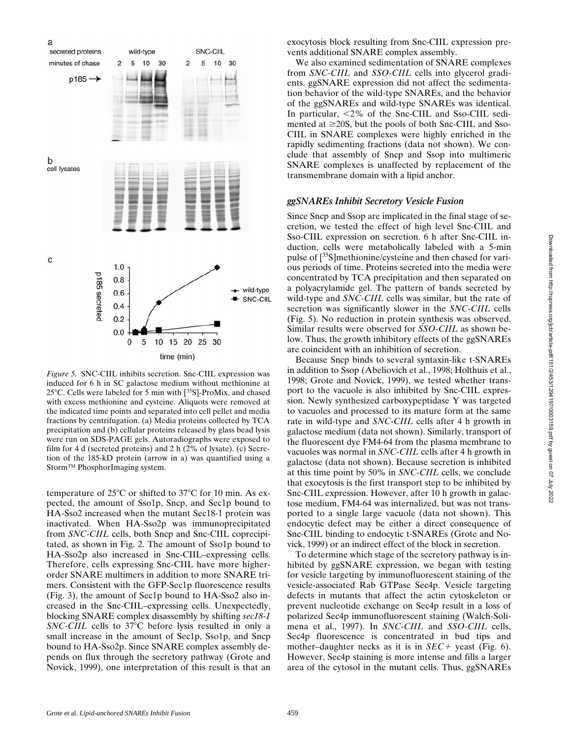

*Figure 5.* SNC-CIIL inhibits secretion. Snc-CIIL expression was induced for 6 h in SC galactose medium without methionine at 25 $^{\circ}$ C. Cells were labeled for 5 min with [ $^{35}$ S]-ProMix, and chased with excess methionine and cysteine. Aliquots were removed at the indicated time points and separated into cell pellet and media fractions by centrifugation. (a) Media proteins collected by TCA precipitation and (b) cellular proteins released by glass bead lysis were run on SDS-PAGE gels. Autoradiographs were exposed to film for 4 d (secreted proteins) and 2 h (2% of lysate). (c) Secretion of the 185-kD protein (arrow in a) was quantified using a Storm™ PhosphorImaging system.

temperature of  $25^{\circ}$ C or shifted to  $37^{\circ}$ C for 10 min. As expected, the amount of Sso1p, Sncp, and Sec1p bound to HA-Sso2 increased when the mutant Sec18-1 protein was inactivated. When HA-Sso2p was immunoprecipitated from *SNC-CIIL* cells, both Sncp and Snc-CIIL coprecipitated, as shown in Fig. 2. The amount of Sso1p bound to HA-Sso2p also increased in Snc-CIIL–expressing cells. Therefore, cells expressing Snc-CIIL have more higherorder SNARE multimers in addition to more SNARE trimers. Consistent with the GFP-Sec1p fluorescence results (Fig. 3), the amount of Sec1p bound to HA-Sso2 also increased in the Snc-CIIL–expressing cells. Unexpectedly, blocking SNARE complex disassembly by shifting *sec18-1 SNC-CIIL* cells to 37<sup>o</sup>C before lysis resulted in only a small increase in the amount of Sec1p, Sso1p, and Sncp bound to HA-Sso2p. Since SNARE complex assembly depends on flux through the secretory pathway (Grote and Novick, 1999), one interpretation of this result is that an

exocytosis block resulting from Snc-CIIL expression prevents additional SNARE complex assembly.

We also examined sedimentation of SNARE complexes from *SNC-CIIL* and *SSO-CIIL* cells into glycerol gradients. ggSNARE expression did not affect the sedimentation behavior of the wild-type SNAREs, and the behavior of the ggSNAREs and wild-type SNAREs was identical. In particular,  $\langle 2\%$  of the Snc-CIIL and Sso-CIIL sedimented at  $\geq$ 20S, but the pools of both Snc-CIIL and Sso-CIIL in SNARE complexes were highly enriched in the rapidly sedimenting fractions (data not shown). We conclude that assembly of Sncp and Ssop into multimeric SNARE complexes is unaffected by replacement of the transmembrane domain with a lipid anchor.

#### *ggSNAREs Inhibit Secretory Vesicle Fusion*

Since Sncp and Ssop are implicated in the final stage of secretion, we tested the effect of high level Snc-CIIL and Sso-CIIL expression on secretion. 6 h after Snc-CIIL induction, cells were metabolically labeled with a 5-min pulse of [35S]methionine/cysteine and then chased for various periods of time. Proteins secreted into the media were concentrated by TCA precipitation and then separated on a polyacrylamide gel. The pattern of bands secreted by wild-type and *SNC-CIIL* cells was similar, but the rate of secretion was significantly slower in the *SNC-CIIL* cells (Fig. 5). No reduction in protein synthesis was observed. Similar results were observed for *SSO-CIIL* as shown below. Thus, the growth inhibitory effects of the ggSNAREs are coincident with an inhibition of secretion.

Because Sncp binds to several syntaxin-like t-SNAREs in addition to Ssop (Abeliovich et al., 1998; Holthuis et al., 1998; Grote and Novick, 1999), we tested whether transport to the vacuole is also inhibited by Snc-CIIL expression. Newly synthesized carboxypeptidase Y was targeted to vacuoles and processed to its mature form at the same rate in wild-type and *SNC-CIIL* cells after 4 h growth in galactose medium (data not shown). Similarly, transport of the fluorescent dye FM4-64 from the plasma membrane to vacuoles was normal in *SNC-CIIL* cells after 4 h growth in galactose (data not shown). Because secretion is inhibited at this time point by 50% in *SNC-CIIL* cells, we conclude that exocytosis is the first transport step to be inhibited by Snc-CIIL expression. However, after 10 h growth in galactose medium, FM4-64 was internalized, but was not transported to a single large vacuole (data not shown). This endocytic defect may be either a direct consequence of Snc-CIIL binding to endocytic t-SNAREs (Grote and Novick, 1999) or an indirect effect of the block in secretion.

To determine which stage of the secretory pathway is inhibited by ggSNARE expression, we began with testing for vesicle targeting by immunofluorescent staining of the vesicle-associated Rab GTPase Sec4p. Vesicle targeting defects in mutants that affect the actin cytoskeleton or prevent nucleotide exchange on Sec4p result in a loss of polarized Sec4p immunofluorescent staining (Walch-Solimena et al., 1997). In *SNC-CIIL* and *SSO-CIIL* cells, Sec4p fluorescence is concentrated in bud tips and mother–daughter necks as it is in  $SEC +$  yeast (Fig. 6). However, Sec4p staining is more intense and fills a larger area of the cytosol in the mutant cells. Thus, ggSNAREs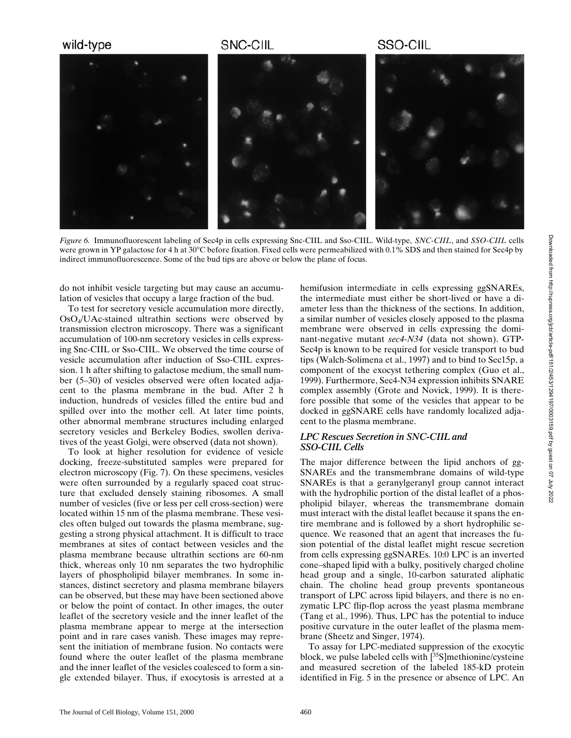# **SNC-CIIL**

## SSO-CIIL



*Figure 6.* Immunofluorescent labeling of Sec4p in cells expressing Snc-CIIL and Sso-CIIL. Wild-type, *SNC-CIIL*, and *SSO-CIIL* cells were grown in YP galactose for 4 h at 30°C before fixation. Fixed cells were permeabilized with 0.1% SDS and then stained for Sec4p by indirect immunofluorescence. Some of the bud tips are above or below the plane of focus.

do not inhibit vesicle targeting but may cause an accumulation of vesicles that occupy a large fraction of the bud.

wild-type

To test for secretory vesicle accumulation more directly,  $OsO<sub>4</sub>/UAc-stained$  ultrathin sections were observed by transmission electron microscopy. There was a significant accumulation of 100-nm secretory vesicles in cells expressing Snc-CIIL or Sso-CIIL. We observed the time course of vesicle accumulation after induction of Sso-CIIL expression. 1 h after shifting to galactose medium, the small number (5–30) of vesicles observed were often located adjacent to the plasma membrane in the bud. After 2 h induction, hundreds of vesicles filled the entire bud and spilled over into the mother cell. At later time points, other abnormal membrane structures including enlarged secretory vesicles and Berkeley Bodies, swollen derivatives of the yeast Golgi, were observed (data not shown).

To look at higher resolution for evidence of vesicle docking, freeze-substituted samples were prepared for electron microscopy (Fig. 7). On these specimens, vesicles were often surrounded by a regularly spaced coat structure that excluded densely staining ribosomes. A small number of vesicles (five or less per cell cross-section) were located within 15 nm of the plasma membrane. These vesicles often bulged out towards the plasma membrane, suggesting a strong physical attachment. It is difficult to trace membranes at sites of contact between vesicles and the plasma membrane because ultrathin sections are 60-nm thick, whereas only 10 nm separates the two hydrophilic layers of phospholipid bilayer membranes. In some instances, distinct secretory and plasma membrane bilayers can be observed, but these may have been sectioned above or below the point of contact. In other images, the outer leaflet of the secretory vesicle and the inner leaflet of the plasma membrane appear to merge at the intersection point and in rare cases vanish. These images may represent the initiation of membrane fusion. No contacts were found where the outer leaflet of the plasma membrane and the inner leaflet of the vesicles coalesced to form a single extended bilayer. Thus, if exocytosis is arrested at a hemifusion intermediate in cells expressing ggSNAREs, the intermediate must either be short-lived or have a diameter less than the thickness of the sections. In addition, a similar number of vesicles closely apposed to the plasma membrane were observed in cells expressing the dominant-negative mutant *sec4-N34* (data not shown). GTP-Sec4p is known to be required for vesicle transport to bud tips (Walch-Solimena et al., 1997) and to bind to Sec15p, a component of the exocyst tethering complex (Guo et al., 1999). Furthermore, Sec4-N34 expression inhibits SNARE complex assembly (Grote and Novick, 1999). It is therefore possible that some of the vesicles that appear to be docked in ggSNARE cells have randomly localized adjacent to the plasma membrane.

#### *LPC Rescues Secretion in SNC-CIIL and SSO-CIIL Cells*

The major difference between the lipid anchors of gg-SNAREs and the transmembrane domains of wild-type SNAREs is that a geranylgeranyl group cannot interact with the hydrophilic portion of the distal leaflet of a phospholipid bilayer, whereas the transmembrane domain must interact with the distal leaflet because it spans the entire membrane and is followed by a short hydrophilic sequence. We reasoned that an agent that increases the fusion potential of the distal leaflet might rescue secretion from cells expressing ggSNAREs. 10:0 LPC is an inverted cone–shaped lipid with a bulky, positively charged choline head group and a single, 10-carbon saturated aliphatic chain. The choline head group prevents spontaneous transport of LPC across lipid bilayers, and there is no enzymatic LPC flip-flop across the yeast plasma membrane (Tang et al., 1996). Thus, LPC has the potential to induce positive curvature in the outer leaflet of the plasma membrane (Sheetz and Singer, 1974).

To assay for LPC-mediated suppression of the exocytic block, we pulse labeled cells with  $[35S]$ methionine/cysteine and measured secretion of the labeled 185-kD protein identified in Fig. 5 in the presence or absence of LPC. An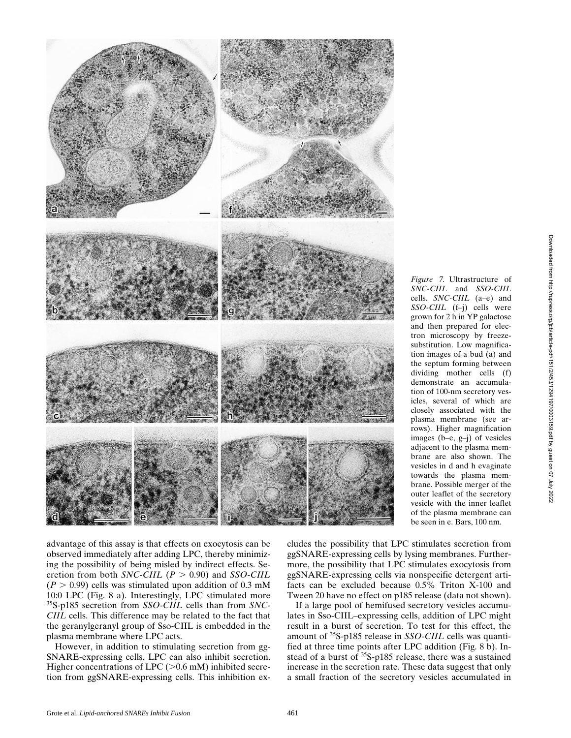

*Figure 7.* Ultrastructure of *SNC-CIIL* and *SSO-CIIL* cells. *SNC-CIIL* (a–e) and *SSO-CIIL* (f–j) cells were grown for 2 h in YP galactose and then prepared for electron microscopy by freezesubstitution. Low magnification images of a bud (a) and the septum forming between dividing mother cells (f) demonstrate an accumulation of 100-nm secretory vesicles, several of which are closely associated with the plasma membrane (see arrows). Higher magnification images (b–e, g–j) of vesicles adjacent to the plasma membrane are also shown. The vesicles in d and h evaginate towards the plasma membrane. Possible merger of the outer leaflet of the secretory vesicle with the inner leaflet of the plasma membrane can be seen in e. Bars, 100 nm.

advantage of this assay is that effects on exocytosis can be observed immediately after adding LPC, thereby minimizing the possibility of being misled by indirect effects. Secretion from both *SNC-CIIL* ( $P > 0.90$ ) and *SSO-CIIL*  $(P > 0.99)$  cells was stimulated upon addition of 0.3 mM 10:0 LPC (Fig. 8 a). Interestingly, LPC stimulated more 35S-p185 secretion from *SSO-CIIL* cells than from *SNC-CIIL* cells. This difference may be related to the fact that the geranylgeranyl group of Sso-CIIL is embedded in the plasma membrane where LPC acts.

However, in addition to stimulating secretion from gg-SNARE-expressing cells, LPC can also inhibit secretion. Higher concentrations of LPC ( $> 0.6$  mM) inhibited secretion from ggSNARE-expressing cells. This inhibition excludes the possibility that LPC stimulates secretion from ggSNARE-expressing cells by lysing membranes. Furthermore, the possibility that LPC stimulates exocytosis from ggSNARE-expressing cells via nonspecific detergent artifacts can be excluded because 0.5% Triton X-100 and Tween 20 have no effect on p185 release (data not shown).

If a large pool of hemifused secretory vesicles accumulates in Sso-CIIL–expressing cells, addition of LPC might result in a burst of secretion. To test for this effect, the amount of 35S-p185 release in *SSO-CIIL* cells was quantified at three time points after LPC addition (Fig. 8 b). Instead of a burst of  ${}^{35}S$ -p185 release, there was a sustained increase in the secretion rate. These data suggest that only a small fraction of the secretory vesicles accumulated in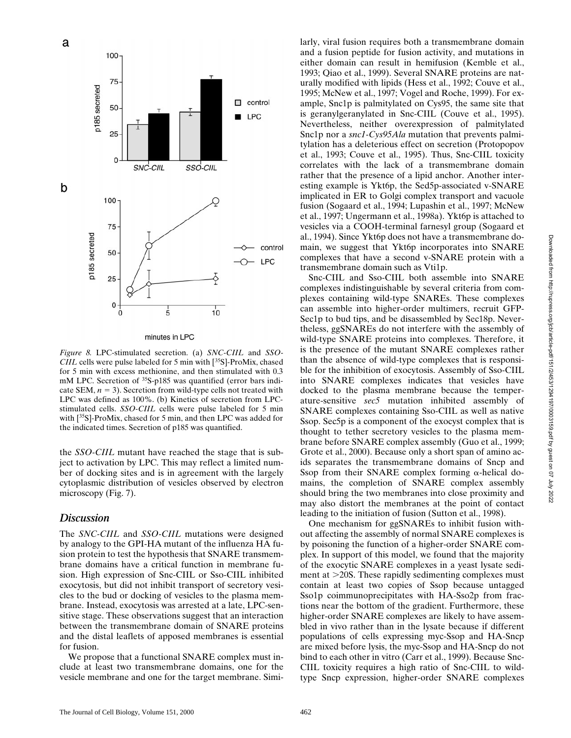

*Figure 8.* LPC-stimulated secretion. (a) *SNC-CIIL* and *SSO-CIIL* cells were pulse labeled for 5 min with [35S]-ProMix, chased for 5 min with excess methionine, and then stimulated with 0.3 mM LPC. Secretion of <sup>35</sup>S-p185 was quantified (error bars indicate SEM,  $n = 3$ ). Secretion from wild-type cells not treated with LPC was defined as 100%. (b) Kinetics of secretion from LPCstimulated cells. *SSO-CIIL* cells were pulse labeled for 5 min with [35S]-ProMix, chased for 5 min, and then LPC was added for the indicated times. Secretion of p185 was quantified.

the *SSO-CIIL* mutant have reached the stage that is subject to activation by LPC. This may reflect a limited number of docking sites and is in agreement with the largely cytoplasmic distribution of vesicles observed by electron microscopy (Fig. 7).

#### *Discussion*

The *SNC-CIIL* and *SSO-CIIL* mutations were designed by analogy to the GPI-HA mutant of the influenza HA fusion protein to test the hypothesis that SNARE transmembrane domains have a critical function in membrane fusion. High expression of Snc-CIIL or Sso-CIIL inhibited exocytosis, but did not inhibit transport of secretory vesicles to the bud or docking of vesicles to the plasma membrane. Instead, exocytosis was arrested at a late, LPC-sensitive stage. These observations suggest that an interaction between the transmembrane domain of SNARE proteins and the distal leaflets of apposed membranes is essential for fusion.

We propose that a functional SNARE complex must include at least two transmembrane domains, one for the vesicle membrane and one for the target membrane. Similarly, viral fusion requires both a transmembrane domain and a fusion peptide for fusion activity, and mutations in either domain can result in hemifusion (Kemble et al., 1993; Qiao et al., 1999). Several SNARE proteins are naturally modified with lipids (Hess et al., 1992; Couve et al., 1995; McNew et al., 1997; Vogel and Roche, 1999). For example, Snc1p is palmitylated on Cys95, the same site that is geranylgeranylated in Snc-CIIL (Couve et al., 1995). Nevertheless, neither overexpression of palmitylated Snc1p nor a *snc1-Cys95Ala* mutation that prevents palmitylation has a deleterious effect on secretion (Protopopov et al., 1993; Couve et al., 1995). Thus, Snc-CIIL toxicity correlates with the lack of a transmembrane domain rather that the presence of a lipid anchor. Another interesting example is Ykt6p, the Sed5p-associated v-SNARE implicated in ER to Golgi complex transport and vacuole fusion (Sogaard et al., 1994; Lupashin et al., 1997; McNew et al., 1997; Ungermann et al., 1998a). Ykt6p is attached to vesicles via a COOH-terminal farnesyl group (Sogaard et al., 1994). Since Ykt6p does not have a transmembrane domain, we suggest that Ykt6p incorporates into SNARE complexes that have a second v-SNARE protein with a transmembrane domain such as Vti1p.

Snc-CIIL and Sso-CIIL both assemble into SNARE complexes indistinguishable by several criteria from complexes containing wild-type SNAREs. These complexes can assemble into higher-order multimers, recruit GFP-Sec1p to bud tips, and be disassembled by Sec18p. Nevertheless, ggSNAREs do not interfere with the assembly of wild-type SNARE proteins into complexes. Therefore, it is the presence of the mutant SNARE complexes rather than the absence of wild-type complexes that is responsible for the inhibition of exocytosis. Assembly of Sso-CIIL into SNARE complexes indicates that vesicles have docked to the plasma membrane because the temperature-sensitive *sec5* mutation inhibited assembly of SNARE complexes containing Sso-CIIL as well as native Ssop. Sec5p is a component of the exocyst complex that is thought to tether secretory vesicles to the plasma membrane before SNARE complex assembly (Guo et al., 1999; Grote et al., 2000). Because only a short span of amino acids separates the transmembrane domains of Sncp and Ssop from their SNARE complex forming  $\alpha$ -helical domains, the completion of SNARE complex assembly should bring the two membranes into close proximity and may also distort the membranes at the point of contact leading to the initiation of fusion (Sutton et al., 1998).

One mechanism for ggSNAREs to inhibit fusion without affecting the assembly of normal SNARE complexes is by poisoning the function of a higher-order SNARE complex. In support of this model, we found that the majority of the exocytic SNARE complexes in a yeast lysate sediment at  $>20$ S. These rapidly sedimenting complexes must contain at least two copies of Ssop because untagged Sso1p coimmunoprecipitates with HA-Sso2p from fractions near the bottom of the gradient. Furthermore, these higher-order SNARE complexes are likely to have assembled in vivo rather than in the lysate because if different populations of cells expressing myc-Ssop and HA-Sncp are mixed before lysis, the myc-Ssop and HA-Sncp do not bind to each other in vitro (Carr et al., 1999). Because Snc-CIIL toxicity requires a high ratio of Snc-CIIL to wildtype Sncp expression, higher-order SNARE complexes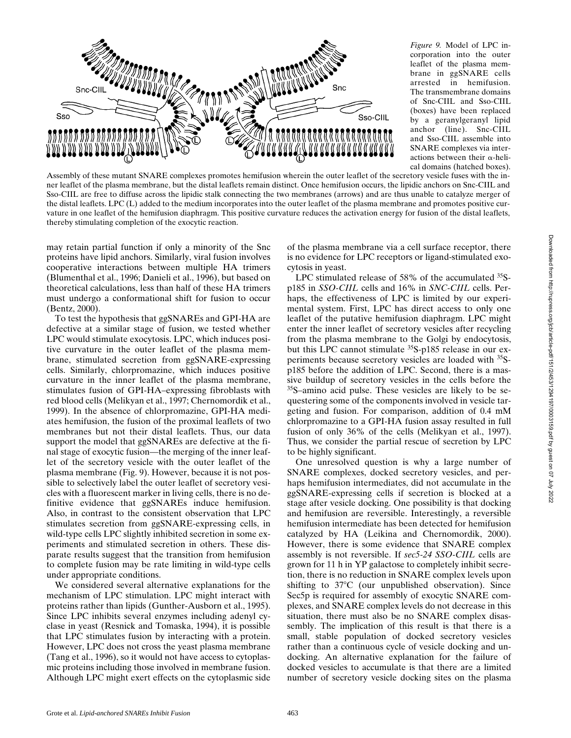

*Figure 9.* Model of LPC incorporation into the outer leaflet of the plasma membrane in ggSNARE cells arrested in hemifusion. The transmembrane domains of Snc-CIIL and Sso-CIIL (boxes) have been replaced by a geranylgeranyl lipid anchor (line). Snc-CIIL and Sso-CIIL assemble into SNARE complexes via interactions between their a-helical domains (hatched boxes).

Assembly of these mutant SNARE complexes promotes hemifusion wherein the outer leaflet of the secretory vesicle fuses with the inner leaflet of the plasma membrane, but the distal leaflets remain distinct. Once hemifusion occurs, the lipidic anchors on Snc-CIIL and Sso-CIIL are free to diffuse across the lipidic stalk connecting the two membranes (arrows) and are thus unable to catalyze merger of the distal leaflets. LPC (L) added to the medium incorporates into the outer leaflet of the plasma membrane and promotes positive curvature in one leaflet of the hemifusion diaphragm. This positive curvature reduces the activation energy for fusion of the distal leaflets, thereby stimulating completion of the exocytic reaction.

may retain partial function if only a minority of the Snc proteins have lipid anchors. Similarly, viral fusion involves cooperative interactions between multiple HA trimers (Blumenthal et al., 1996; Danieli et al., 1996), but based on theoretical calculations, less than half of these HA trimers must undergo a conformational shift for fusion to occur (Bentz, 2000).

To test the hypothesis that ggSNAREs and GPI-HA are defective at a similar stage of fusion, we tested whether LPC would stimulate exocytosis. LPC, which induces positive curvature in the outer leaflet of the plasma membrane, stimulated secretion from ggSNARE-expressing cells. Similarly, chlorpromazine, which induces positive curvature in the inner leaflet of the plasma membrane, stimulates fusion of GPI-HA–expressing fibroblasts with red blood cells (Melikyan et al., 1997; Chernomordik et al., 1999). In the absence of chlorpromazine, GPI-HA mediates hemifusion, the fusion of the proximal leaflets of two membranes but not their distal leaflets. Thus, our data support the model that ggSNAREs are defective at the final stage of exocytic fusion—the merging of the inner leaflet of the secretory vesicle with the outer leaflet of the plasma membrane (Fig. 9). However, because it is not possible to selectively label the outer leaflet of secretory vesicles with a fluorescent marker in living cells, there is no definitive evidence that ggSNAREs induce hemifusion. Also, in contrast to the consistent observation that LPC stimulates secretion from ggSNARE-expressing cells, in wild-type cells LPC slightly inhibited secretion in some experiments and stimulated secretion in others. These disparate results suggest that the transition from hemifusion to complete fusion may be rate limiting in wild-type cells under appropriate conditions.

We considered several alternative explanations for the mechanism of LPC stimulation. LPC might interact with proteins rather than lipids (Gunther-Ausborn et al., 1995). Since LPC inhibits several enzymes including adenyl cyclase in yeast (Resnick and Tomaska, 1994), it is possible that LPC stimulates fusion by interacting with a protein. However, LPC does not cross the yeast plasma membrane (Tang et al., 1996), so it would not have access to cytoplasmic proteins including those involved in membrane fusion. Although LPC might exert effects on the cytoplasmic side of the plasma membrane via a cell surface receptor, there is no evidence for LPC receptors or ligand-stimulated exocytosis in yeast.

LPC stimulated release of 58% of the accumulated  $35$ Sp185 in *SSO-CIIL* cells and 16% in *SNC-CIIL* cells. Perhaps, the effectiveness of LPC is limited by our experimental system. First, LPC has direct access to only one leaflet of the putative hemifusion diaphragm. LPC might enter the inner leaflet of secretory vesicles after recycling from the plasma membrane to the Golgi by endocytosis, but this LPC cannot stimulate <sup>35</sup>S-p185 release in our experiments because secretory vesicles are loaded with <sup>35</sup>Sp185 before the addition of LPC. Second, there is a massive buildup of secretory vesicles in the cells before the 35S–amino acid pulse. These vesicles are likely to be sequestering some of the components involved in vesicle targeting and fusion. For comparison, addition of 0.4 mM chlorpromazine to a GPI-HA fusion assay resulted in full fusion of only 36% of the cells (Melikyan et al., 1997). Thus, we consider the partial rescue of secretion by LPC to be highly significant.

One unresolved question is why a large number of SNARE complexes, docked secretory vesicles, and perhaps hemifusion intermediates, did not accumulate in the ggSNARE-expressing cells if secretion is blocked at a stage after vesicle docking. One possibility is that docking and hemifusion are reversible. Interestingly, a reversible hemifusion intermediate has been detected for hemifusion catalyzed by HA (Leikina and Chernomordik, 2000). However, there is some evidence that SNARE complex assembly is not reversible. If *sec5-24 SSO-CIIL* cells are grown for 11 h in YP galactose to completely inhibit secretion, there is no reduction in SNARE complex levels upon shifting to  $37^{\circ}$ C (our unpublished observation). Since Sec5p is required for assembly of exocytic SNARE complexes, and SNARE complex levels do not decrease in this situation, there must also be no SNARE complex disassembly. The implication of this result is that there is a small, stable population of docked secretory vesicles rather than a continuous cycle of vesicle docking and undocking. An alternative explanation for the failure of docked vesicles to accumulate is that there are a limited number of secretory vesicle docking sites on the plasma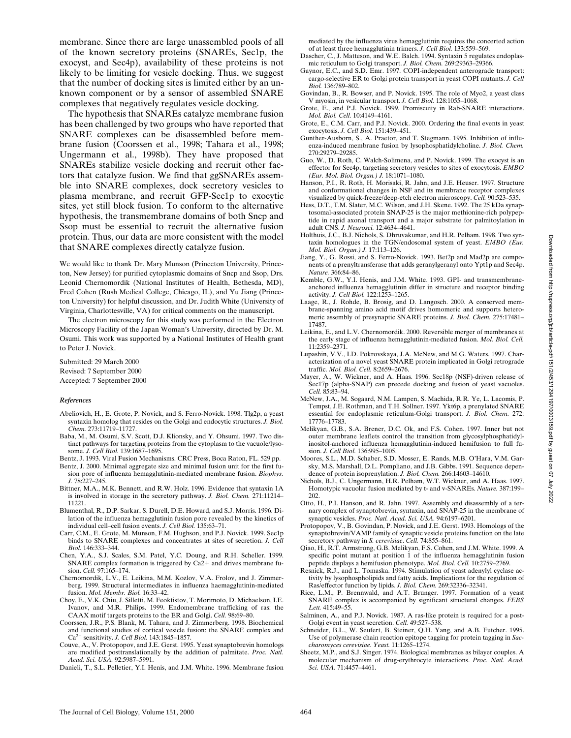membrane. Since there are large unassembled pools of all of the known secretory proteins (SNAREs, Sec1p, the exocyst, and Sec4p), availability of these proteins is not likely to be limiting for vesicle docking. Thus, we suggest that the number of docking sites is limited either by an unknown component or by a sensor of assembled SNARE complexes that negatively regulates vesicle docking.

The hypothesis that SNAREs catalyze membrane fusion has been challenged by two groups who have reported that SNARE complexes can be disassembled before membrane fusion (Coorssen et al., 1998; Tahara et al., 1998; Ungermann et al., 1998b). They have proposed that SNAREs stabilize vesicle docking and recruit other factors that catalyze fusion. We find that ggSNAREs assemble into SNARE complexes, dock secretory vesicles to plasma membrane, and recruit GFP-Sec1p to exocytic sites, yet still block fusion. To conform to the alternative hypothesis, the transmembrane domains of both Sncp and Ssop must be essential to recruit the alternative fusion protein. Thus, our data are more consistent with the model that SNARE complexes directly catalyze fusion.

We would like to thank Dr. Mary Munson (Princeton University, Princeton, New Jersey) for purified cytoplasmic domains of Sncp and Ssop, Drs. Leonid Chernomordik (National Institutes of Health, Bethesda, MD), Fred Cohen (Rush Medical College, Chicago, IL), and Yu Jiang (Princeton University) for helpful discussion, and Dr. Judith White (University of Virginia, Charlottesville, VA) for critical comments on the manuscript.

The electron microscopy for this study was performed in the Electron Microscopy Facility of the Japan Woman's University, directed by Dr. M. Osumi. This work was supported by a National Institutes of Health grant to Peter J. Novick.

Submitted: 29 March 2000 Revised: 7 September 2000 Accepted: 7 September 2000

#### *References*

- Abeliovich, H., E. Grote, P. Novick, and S. Ferro-Novick. 1998. Tlg2p, a yeast syntaxin homolog that resides on the Golgi and endocytic structures. *J. Biol. Chem.* 273:11719–11727.
- Baba, M., M. Osumi, S.V. Scott, D.J. Klionsky, and Y. Ohsumi. 1997. Two distinct pathways for targeting proteins from the cytoplasm to the vacuole/lysosome. *J. Cell Biol.* 139:1687–1695.
- Bentz, J. 1993. Viral Fusion Mechanisms. CRC Press, Boca Raton, FL. 529 pp. Bentz, J. 2000. Minimal aggregate size and minimal fusion unit for the first fusion pore of influenza hemagglutinin-mediated membrane fusion. *Biophys. J.* 78:227–245.
- Bittner, M.A., M.K. Bennett, and R.W. Holz. 1996. Evidence that syntaxin 1A is involved in storage in the secretory pathway. *J. Biol. Chem.* 271:11214– 11221.
- Blumenthal, R., D.P. Sarkar, S. Durell, D.E. Howard, and S.J. Morris. 1996. Dilation of the influenza hemagglutinin fusion pore revealed by the kinetics of individual cell–cell fusion events. *J. Cell Biol.* 135:63–71.
- Carr, C.M., E. Grote, M. Munson, F.M. Hughson, and P.J. Novick. 1999. Sec1p binds to SNARE complexes and concentrates at sites of secretion. *J. Cell Biol.* 146:333–344.
- Chen, Y.A., S.J. Scales, S.M. Patel, Y.C. Doung, and R.H. Scheller. 1999. SNARE complex formation is triggered by  $Ca<sub>2</sub> +$  and drives membrane fusion. *Cell.* 97:165–174.
- Chernomordik, L.V., E. Leikina, M.M. Kozlov, V.A. Frolov, and J. Zimmerberg. 1999. Structural intermediates in influenza haemagglutinin-mediated fusion. *Mol. Membr. Biol.* 16:33–42.
- Choy, E., V.K. Chiu, J. Silletti, M. Feoktistov, T. Morimoto, D. Michaelson, I.E. Ivanov, and M.R. Philips. 1999. Endomembrane trafficking of ras: the CAAX motif targets proteins to the ER and Golgi. *Cell.* 98:69–80.
- Coorssen, J.R., P.S. Blank, M. Tahara, and J. Zimmerberg. 1998. Biochemical and functional studies of cortical vesicle fusion: the SNARE complex and Ca<sup>2+</sup> sensitivity. *J. Cell Biol.* 143:1845-1857.
- Couve, A., V. Protopopov, and J.E. Gerst. 1995. Yeast synaptobrevin homologs are modified posttranslationally by the addition of palmitate. *Proc. Natl. Acad. Sci. USA.* 92:5987–5991.
- Danieli, T., S.L. Pelletier, Y.I. Henis, and J.M. White. 1996. Membrane fusion

mediated by the influenza virus hemagglutinin requires the concerted action of at least three hemagglutinin trimers. *J. Cell Biol.* 133:559–569.

- Dascher, C., J. Matteson, and W.E. Balch. 1994. Syntaxin 5 regulates endoplasmic reticulum to Golgi transport. *J. Biol. Chem.* 269:29363–29366.
- Gaynor, E.C., and S.D. Emr. 1997. COPI-independent anterograde transport: cargo-selective ER to Golgi protein transport in yeast COPI mutants. *J. Cell Biol.* 136:789–802.
- Govindan, B., R. Bowser, and P. Novick. 1995. The role of Myo2, a yeast class V myosin, in vesicular transport. *J. Cell Biol.* 128:1055–1068.
- Grote, E., and P.J. Novick. 1999. Promiscuity in Rab-SNARE interactions. *Mol. Biol. Cell.* 10:4149–4161.
- Grote, E., C.M. Carr, and P.J. Novick. 2000. Ordering the final events in yeast exocytosis. *J. Cell Biol.* 151:439–451.
- Gunther-Ausborn, S., A. Praetor, and T. Stegmann. 1995. Inhibition of influenza-induced membrane fusion by lysophosphatidylcholine. *J. Biol. Chem.* 270:29279–29285.
- Guo, W., D. Roth, C. Walch-Solimena, and P. Novick. 1999. The exocyst is an effector for Sec4p, targeting secretory vesicles to sites of exocytosis. *EMBO (Eur. Mol. Biol. Organ.) J.* 18:1071–1080.
- Hanson, P.I., R. Roth, H. Morisaki, R. Jahn, and J.E. Heuser. 1997. Structure and conformational changes in NSF and its membrane receptor complexes visualized by quick-freeze/deep-etch electron microscopy. *Cell.* 90:523–535.
- Hess, D.T., T.M. Slater, M.C. Wilson, and J.H. Skene. 1992. The 25 kDa synaptosomal-associated protein SNAP-25 is the major methionine-rich polypeptide in rapid axonal transport and a major substrate for palmitoylation in adult CNS. *J. Neurosci.* 12:4634–4641.
- Holthuis, J.C., B.J. Nichols, S. Dhruvakumar, and H.R. Pelham. 1998. Two syntaxin homologues in the TGN/endosomal system of yeast. *EMBO (Eur. Mol. Biol. Organ.) J.* 17:113–126.
- Jiang, Y., G. Rossi, and S. Ferro-Novick. 1993. Bet2p and Mad2p are components of a prenyltransferase that adds geranylgeranyl onto Ypt1p and Sec4p. *Nature.* 366:84–86.
- Kemble, G.W., Y.I. Henis, and J.M. White. 1993. GPI- and transmembraneanchored influenza hemagglutinin differ in structure and receptor binding activity. *J. Cell Biol.* 122:1253–1265.
- Laage, R., J. Rohde, B. Brosig, and D. Langosch. 2000. A conserved membrane-spanning amino acid motif drives homomeric and supports heteromeric assembly of presynaptic SNARE proteins. *J. Biol. Chem.* 275:17481– 17487.
- Leikina, E., and L.V. Chernomordik. 2000. Reversible merger of membranes at the early stage of influenza hemagglutinin-mediated fusion. *Mol. Biol. Cell.* 11:2359–2371.
- Lupashin, V.V., I.D. Pokrovskaya, J.A. McNew, and M.G. Waters. 1997. Characterization of a novel yeast SNARE protein implicated in Golgi retrograde traffic. *Mol. Biol. Cell.* 8:2659–2676.
- Mayer, A., W. Wickner, and A. Haas. 1996. Sec18p (NSF)-driven release of Sec17p (alpha-SNAP) can precede docking and fusion of yeast vacuoles. *Cell.* 85:83–94.
- McNew, J.A., M. Sogaard, N.M. Lampen, S. Machida, R.R. Ye, L. Lacomis, P. Tempst, J.E. Rothman, and T.H. Sollner. 1997. Ykt6p, a prenylated SNARE essential for endoplasmic reticulum-Golgi transport. *J. Biol. Chem.* 272: 17776–17783.
- Melikyan, G.B., S.A. Brener, D.C. Ok, and F.S. Cohen. 1997. Inner but not outer membrane leaflets control the transition from glycosylphosphatidylinositol-anchored influenza hemagglutinin-induced hemifusion to full fusion. *J. Cell Biol.* 136:995–1005.
- Moores, S.L., M.D. Schaber, S.D. Mosser, E. Rands, M.B. O'Hara, V.M. Garsky, M.S. Marshall, D.L. Pompliano, and J.B. Gibbs. 1991. Sequence dependence of protein isoprenylation. *J. Biol. Chem.* 266:14603–14610.
- Nichols, B.J., C. Ungermann, H.R. Pelham, W.T. Wickner, and A. Haas. 1997. Homotypic vacuolar fusion mediated by t- and v-SNAREs. *Nature.* 387:199– 202.
- Otto, H., P.I. Hanson, and R. Jahn. 1997. Assembly and disassembly of a ternary complex of synaptobrevin, syntaxin, and SNAP-25 in the membrane of synaptic vesicles. *Proc. Natl. Acad. Sci. USA.* 94:6197–6201.
- Protopopov, V., B. Govindan, P. Novick, and J.E. Gerst. 1993. Homologs of the synaptobrevin/VAMP family of synaptic vesicle proteins function on the late secretory pathway in *S. cerevisiae*. *Cell.* 74:855–861.
- Qiao, H., R.T. Armstrong, G.B. Melikyan, F.S. Cohen, and J.M. White. 1999. A specific point mutant at position 1 of the influenza hemagglutinin fusion peptide displays a hemifusion phenotype. *Mol. Biol. Cell.* 10:2759–2769.
- Resnick, R.J., and L. Tomaska. 1994. Stimulation of yeast adenylyl cyclase activity by lysophospholipids and fatty acids. Implications for the regulation of Ras/effector function by lipids. *J. Biol. Chem.* 269:32336–32341.
- Rice, L.M., P. Brennwald, and A.T. Brunger. 1997. Formation of a yeast SNARE complex is accompanied by significant structural changes. *FEBS Lett.* 415:49–55.
- Salminen, A., and P.J. Novick. 1987. A ras-like protein is required for a post-Golgi event in yeast secretion. *Cell.* 49:527–538.
- Schneider, B.L., W. Seufert, B. Steiner, Q.H. Yang, and A.B. Futcher. 1995. Use of polymerase chain reaction epitope tagging for protein tagging in *Saccharomyces cerevisiae*. *Yeast.* 11:1265–1274.
- Sheetz, M.P., and S.J. Singer. 1974. Biological membranes as bilayer couples. A molecular mechanism of drug-erythrocyte interactions. *Proc. Natl. Acad. Sci. USA.* 71:4457–4461.